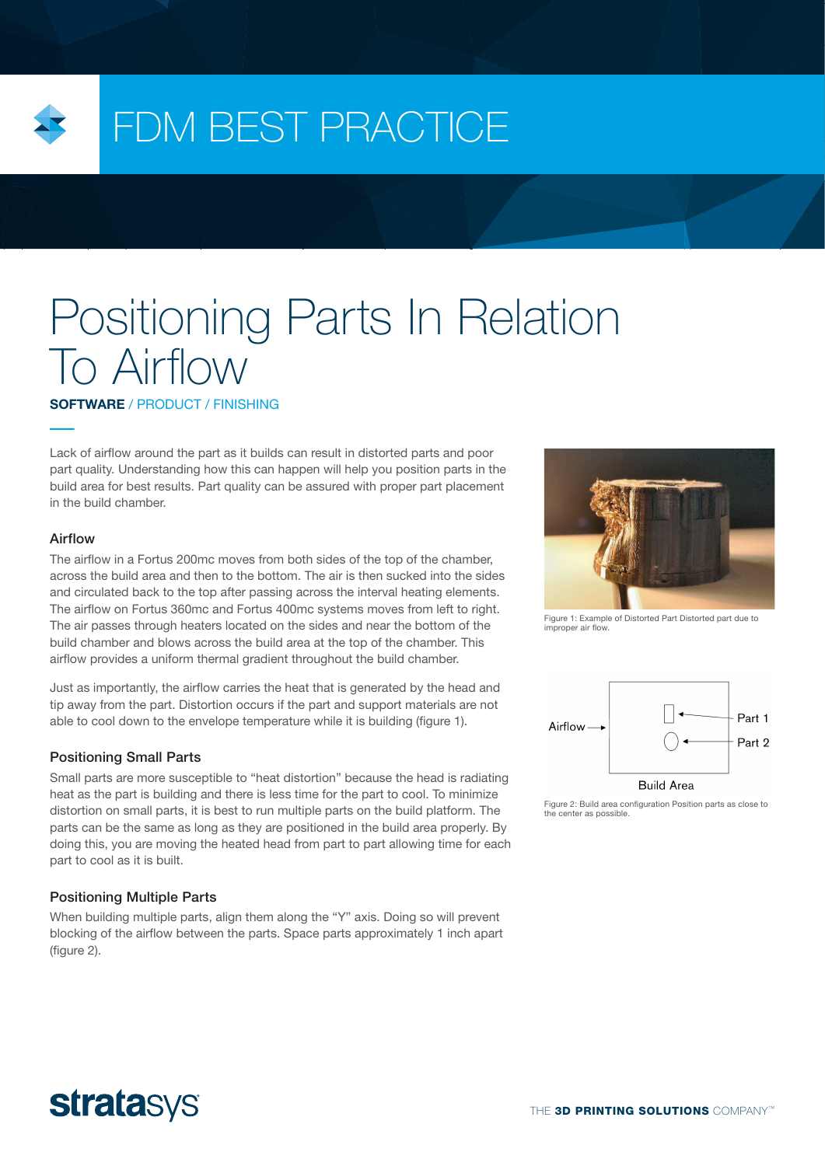

## FDM BEST PRACTICE

# Positioning Parts In Relation To Airflow

SOFTWARE / PRODUCT / FINISHING

Lack of airflow around the part as it builds can result in distorted parts and poor part quality. Understanding how this can happen will help you position parts in the build area for best results. Part quality can be assured with proper part placement in the build chamber.

#### Airflow

The airflow in a Fortus 200mc moves from both sides of the top of the chamber, across the build area and then to the bottom. The air is then sucked into the sides and circulated back to the top after passing across the interval heating elements. The airflow on Fortus 360mc and Fortus 400mc systems moves from left to right. The air passes through heaters located on the sides and near the bottom of the build chamber and blows across the build area at the top of the chamber. This airflow provides a uniform thermal gradient throughout the build chamber.

Just as importantly, the airflow carries the heat that is generated by the head and tip away from the part. Distortion occurs if the part and support materials are not able to cool down to the envelope temperature while it is building (figure 1).

#### Positioning Small Parts

Small parts are more susceptible to "heat distortion" because the head is radiating heat as the part is building and there is less time for the part to cool. To minimize distortion on small parts, it is best to run multiple parts on the build platform. The parts can be the same as long as they are positioned in the build area properly. By doing this, you are moving the heated head from part to part allowing time for each part to cool as it is built.

#### Positioning Multiple Parts

When building multiple parts, align them along the "Y" axis. Doing so will prevent blocking of the airflow between the parts. Space parts approximately 1 inch apart (figure 2).



Figure 1: Example of Distorted Part Distorted part due to improper air flow.



Figure 2: Build area configuration Position parts as close to the center as possible.